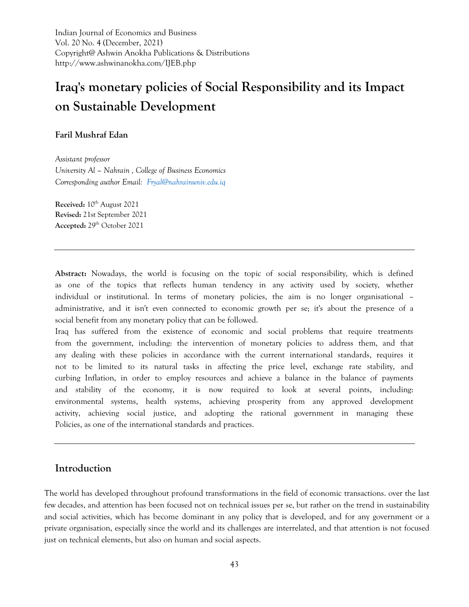Indian Journal of Economics and Business Vol. 20 No. 4 (December, 2021) Copyright@ Ashwin Anokha Publications & Distributions http://www.ashwinanokha.com/IJEB.php

# **Iraq's monetary policies of Social Responsibility and its Impact on Sustainable Development**

# **Faril Mushraf Edan**

*Assistant professor University Al – Nahrain , College of Business Economics Corresponding author Email: [Fryal@nahrainuniv.edu.iq](mailto:Fryal@nahrainuniv.edu.iq)*

**Received:** 10<sup>th</sup> August 2021 **Revised:** 21st September 2021 **Accepted:** 29th October 2021

**Abstract:** Nowadays, the world is focusing on the topic of social responsibility, which is defined as one of the topics that reflects human tendency in any activity used by society, whether individual or institutional. In terms of monetary policies, the aim is no longer organisational – administrative, and it isn't even connected to economic growth per se; it's about the presence of a social benefit from any monetary policy that can be followed.

Iraq has suffered from the existence of economic and social problems that require treatments from the government, including: the intervention of monetary policies to address them, and that any dealing with these policies in accordance with the current international standards, requires it not to be limited to its natural tasks in affecting the price level, exchange rate stability, and curbing Inflation, in order to employ resources and achieve a balance in the balance of payments and stability of the economy, it is now required to look at several points, including: environmental systems, health systems, achieving prosperity from any approved development activity, achieving social justice, and adopting the rational government in managing these Policies, as one of the international standards and practices.

# **Introduction**

The world has developed throughout profound transformations in the field of economic transactions. over the last few decades, and attention has been focused not on technical issues per se, but rather on the trend in sustainability and social activities, which has become dominant in any policy that is developed, and for any government or a private organisation, especially since the world and its challenges are interrelated, and that attention is not focused just on technical elements, but also on human and social aspects.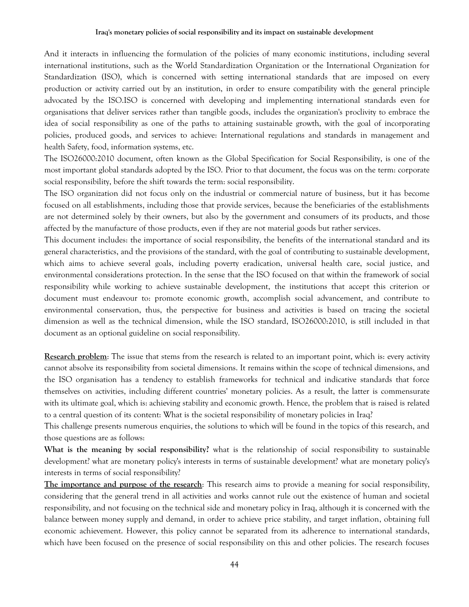And it interacts in influencing the formulation of the policies of many economic institutions, including several international institutions, such as the World Standardization Organization or the International Organization for Standardization (ISO), which is concerned with setting international standards that are imposed on every production or activity carried out by an institution, in order to ensure compatibility with the general principle advocated by the ISO.ISO is concerned with developing and implementing international standards even for organisations that deliver services rather than tangible goods, includes the organization's proclivity to embrace the idea of social responsibility as one of the paths to attaining sustainable growth, with the goal of incorporating policies, produced goods, and services to achieve: International regulations and standards in management and health Safety, food, information systems, etc.

The ISO26000:2010 document, often known as the Global Specification for Social Responsibility, is one of the most important global standards adopted by the ISO. Prior to that document, the focus was on the term: corporate social responsibility, before the shift towards the term: social responsibility.

The ISO organization did not focus only on the industrial or commercial nature of business, but it has become focused on all establishments, including those that provide services, because the beneficiaries of the establishments are not determined solely by their owners, but also by the government and consumers of its products, and those affected by the manufacture of those products, even if they are not material goods but rather services.

This document includes: the importance of social responsibility, the benefits of the international standard and its general characteristics, and the provisions of the standard, with the goal of contributing to sustainable development, which aims to achieve several goals, including poverty eradication, universal health care, social justice, and environmental considerations protection. In the sense that the ISO focused on that within the framework of social responsibility while working to achieve sustainable development, the institutions that accept this criterion or document must endeavour to: promote economic growth, accomplish social advancement, and contribute to environmental conservation, thus, the perspective for business and activities is based on tracing the societal dimension as well as the technical dimension, while the ISO standard, ISO26000:2010, is still included in that document as an optional guideline on social responsibility.

**Research problem**: The issue that stems from the research is related to an important point, which is: every activity cannot absolve its responsibility from societal dimensions. It remains within the scope of technical dimensions, and the ISO organisation has a tendency to establish frameworks for technical and indicative standards that force themselves on activities, including different countries' monetary policies. As a result, the latter is commensurate with its ultimate goal, which is: achieving stability and economic growth. Hence, the problem that is raised is related to a central question of its content: What is the societal responsibility of monetary policies in Iraq?

This challenge presents numerous enquiries, the solutions to which will be found in the topics of this research, and those questions are as follows:

**What is the meaning by social responsibility?** what is the relationship of social responsibility to sustainable development? what are monetary policy's interests in terms of sustainable development? what are monetary policy's interests in terms of social responsibility?

**The importance and purpose of the research**: This research aims to provide a meaning for social responsibility, considering that the general trend in all activities and works cannot rule out the existence of human and societal responsibility, and not focusing on the technical side and monetary policy in Iraq, although it is concerned with the balance between money supply and demand, in order to achieve price stability, and target inflation, obtaining full economic achievement. However, this policy cannot be separated from its adherence to international standards, which have been focused on the presence of social responsibility on this and other policies. The research focuses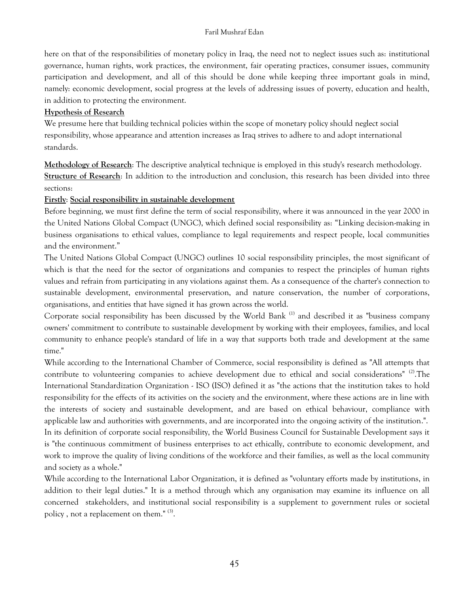here on that of the responsibilities of monetary policy in Iraq, the need not to neglect issues such as: institutional governance, human rights, work practices, the environment, fair operating practices, consumer issues, community participation and development, and all of this should be done while keeping three important goals in mind, namely: economic development, social progress at the levels of addressing issues of poverty, education and health, in addition to protecting the environment.

# **Hypothesis of Research**

We presume here that building technical policies within the scope of monetary policy should neglect social responsibility, whose appearance and attention increases as Iraq strives to adhere to and adopt international standards.

**Methodology of Research**: The descriptive analytical technique is employed in this study's research methodology. **Structure of Research**: In addition to the introduction and conclusion, this research has been divided into three sections:

# **Firstly**: **Social responsibility in sustainable development**

Before beginning, we must first define the term of social responsibility, where it was announced in the year 2000 in the United Nations Global Compact (UNGC), which defined social responsibility as: "Linking decision-making in business organisations to ethical values, compliance to legal requirements and respect people, local communities and the environment."

The United Nations Global Compact (UNGC) outlines 10 social responsibility principles, the most significant of which is that the need for the sector of organizations and companies to respect the principles of human rights values and refrain from participating in any violations against them. As a consequence of the charter's connection to sustainable development, environmental preservation, and nature conservation, the number of corporations, organisations, and entities that have signed it has grown across the world.

Corporate social responsibility has been discussed by the World Bank<sup>(1)</sup> and described it as "business company owners' commitment to contribute to sustainable development by working with their employees, families, and local community to enhance people's standard of life in a way that supports both trade and development at the same time."

While according to the International Chamber of Commerce, social responsibility is defined as "All attempts that contribute to volunteering companies to achieve development due to ethical and social considerations" (2). The International Standardization Organization - ISO (ISO) defined it as "the actions that the institution takes to hold responsibility for the effects of its activities on the society and the environment, where these actions are in line with the interests of society and sustainable development, and are based on ethical behaviour, compliance with applicable law and authorities with governments, and are incorporated into the ongoing activity of the institution.". In its definition of corporate social responsibility, the World Business Council for Sustainable Development says it is "the continuous commitment of business enterprises to act ethically, contribute to economic development, and work to improve the quality of living conditions of the workforce and their families, as well as the local community and society as a whole."

While according to the International Labor Organization, it is defined as "voluntary efforts made by institutions, in addition to their legal duties." It is a method through which any organisation may examine its influence on all concerned stakeholders, and institutional social responsibility is a supplement to government rules or societal policy , not a replacement on them."  $^{(3)}$ .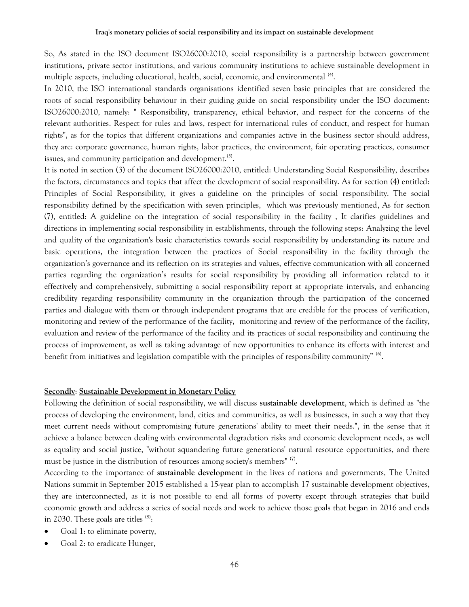So, As stated in the ISO document ISO26000:2010, social responsibility is a partnership between government institutions, private sector institutions, and various community institutions to achieve sustainable development in multiple aspects, including educational, health, social, economic, and environmental <sup>(4)</sup>.

In 2010, the ISO international standards organisations identified seven basic principles that are considered the roots of social responsibility behaviour in their guiding guide on social responsibility under the ISO document: ISO26000:2010, namely: " Responsibility, transparency, ethical behavior, and respect for the concerns of the relevant authorities. Respect for rules and laws, respect for international rules of conduct, and respect for human rights", as for the topics that different organizations and companies active in the business sector should address, they are: corporate governance, human rights, labor practices, the environment, fair operating practices, consumer issues, and community participation and development.<sup>(5)</sup>.

It is noted in section (3) of the document ISO26000:2010, entitled: Understanding Social Responsibility, describes the factors, circumstances and topics that affect the development of social responsibility. As for section (4) entitled: Principles of Social Responsibility, it gives a guideline on the principles of social responsibility. The social responsibility defined by the specification with seven principles, which was previously mentioned, As for section (7), entitled: A guideline on the integration of social responsibility in the facility , It clarifies guidelines and directions in implementing social responsibility in establishments, through the following steps: Analyzing the level and quality of the organization's basic characteristics towards social responsibility by understanding its nature and basic operations, the integration between the practices of Social responsibility in the facility through the organization's governance and its reflection on its strategies and values, effective communication with all concerned parties regarding the organization's results for social responsibility by providing all information related to it effectively and comprehensively, submitting a social responsibility report at appropriate intervals, and enhancing credibility regarding responsibility community in the organization through the participation of the concerned parties and dialogue with them or through independent programs that are credible for the process of verification, monitoring and review of the performance of the facility, monitoring and review of the performance of the facility, evaluation and review of the performance of the facility and its practices of social responsibility and continuing the process of improvement, as well as taking advantage of new opportunities to enhance its efforts with interest and benefit from initiatives and legislation compatible with the principles of responsibility community"  $^{(6)}$ .

### **Secondly**: **Sustainable Development in Monetary Policy**

Following the definition of social responsibility, we will discuss **sustainable development**, which is defined as "the process of developing the environment, land, cities and communities, as well as businesses, in such a way that they meet current needs without compromising future generations' ability to meet their needs.", in the sense that it achieve a balance between dealing with environmental degradation risks and economic development needs, as well as equality and social justice, "without squandering future generations' natural resource opportunities, and there must be justice in the distribution of resources among society's members" <sup>(7)</sup>.

According to the importance of **sustainable development** in the lives of nations and governments, The United Nations summit in September 2015 established a 15-year plan to accomplish 17 sustainable development objectives, they are interconnected, as it is not possible to end all forms of poverty except through strategies that build economic growth and address a series of social needs and work to achieve those goals that began in 2016 and ends in 2030. These goals are titles  $^{(8)}$ :

- Goal 1: to eliminate poverty,
- Goal 2: to eradicate Hunger,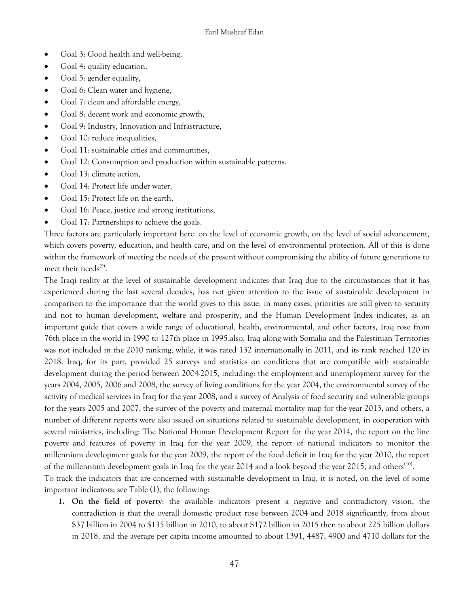- Goal 3: Good health and well-being,
- Goal 4: quality education,
- Goal 5: gender equality,
- Goal 6: Clean water and hygiene,
- Goal 7: clean and affordable energy,
- Goal 8: decent work and economic growth,
- Goal 9: Industry, Innovation and Infrastructure,
- Goal 10: reduce inequalities,
- Goal 11: sustainable cities and communities,
- Goal 12: Consumption and production within sustainable patterns.
- Goal 13: climate action,
- Goal 14: Protect life under water,
- Goal 15: Protect life on the earth,
- Goal 16: Peace, justice and strong institutions,
- Goal 17: Partnerships to achieve the goals.

Three factors are particularly important here: on the level of economic growth, on the level of social advancement, which covers poverty, education, and health care, and on the level of environmental protection. All of this is done within the framework of meeting the needs of the present without compromising the ability of future generations to meet their needs<sup>(9)</sup>.

The Iraqi reality at the level of sustainable development indicates that Iraq due to the circumstances that it has experienced during the last several decades, has not given attention to the issue of sustainable development in comparison to the importance that the world gives to this issue, in many cases, priorities are still given to security and not to human development, welfare and prosperity, and the Human Development Index indicates, as an important guide that covers a wide range of educational, health, environmental, and other factors, Iraq rose from 76th place in the world in 1990 to 127th place in 1995,also, Iraq along with Somalia and the Palestinian Territories was not included in the 2010 ranking, while, it was rated 132 internationally in 2011, and its rank reached 120 in 2018. Iraq, for its part, provided 25 surveys and statistics on conditions that are compatible with sustainable development during the period between 2004-2015, including: the employment and unemployment survey for the years 2004, 2005, 2006 and 2008, the survey of living conditions for the year 2004, the environmental survey of the activity of medical services in Iraq for the year 2008, and a survey of Analysis of food security and vulnerable groups for the years 2005 and 2007, the survey of the poverty and maternal mortality map for the year 2013, and others, a number of different reports were also issued on situations related to sustainable development, in cooperation with several ministries, including: The National Human Development Report for the year 2014, the report on the line poverty and features of poverty in Iraq for the year 2009, the report of national indicators to monitor the millennium development goals for the year 2009, the report of the food deficit in Iraq for the year 2010, the report of the millennium development goals in Iraq for the year 2014 and a look beyond the year 2015, and others<sup>(10)</sup>. To track the indicators that are concerned with sustainable development in Iraq, it is noted, on the level of some important indicators; see Table (1), the following:

**1. On the field of poverty**: the available indicators present a negative and contradictory vision, the contradiction is that the overall domestic product rose between 2004 and 2018 significantly, from about \$37 billion in 2004 to \$135 billion in 2010, to about \$172 billion in 2015 then to about 225 billion dollars in 2018, and the average per capita income amounted to about 1391, 4487, 4900 and 4710 dollars for the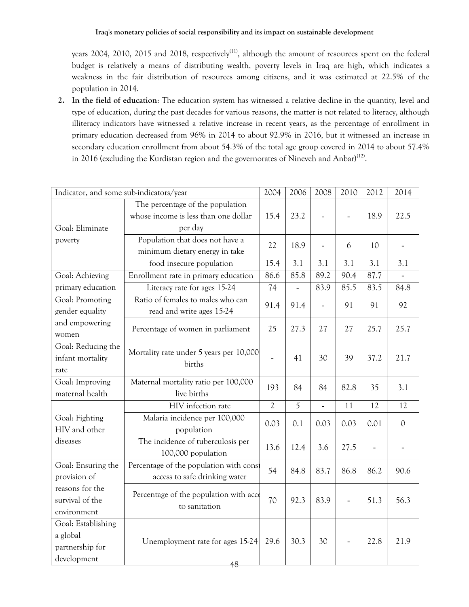years 2004, 2010, 2015 and 2018, respectively<sup>(11)</sup>, although the amount of resources spent on the federal budget is relatively a means of distributing wealth, poverty levels in Iraq are high, which indicates a weakness in the fair distribution of resources among citizens, and it was estimated at 22.5% of the population in 2014.

**2. In the field of education**: The education system has witnessed a relative decline in the quantity, level and type of education, during the past decades for various reasons, the matter is not related to literacy, although illiteracy indicators have witnessed a relative increase in recent years, as the percentage of enrollment in primary education decreased from 96% in 2014 to about 92.9% in 2016, but it witnessed an increase in secondary education enrollment from about 54.3% of the total age group covered in 2014 to about 57.4% in 2016 (excluding the Kurdistan region and the governorates of Nineveh and Anbar) $(12)$ .

| Indicator, and some sub-indicators/year                          |                                                                                     | 2004           | 2006                     | 2008                     | 2010           | 2012 | 2014          |
|------------------------------------------------------------------|-------------------------------------------------------------------------------------|----------------|--------------------------|--------------------------|----------------|------|---------------|
| Goal: Eliminate                                                  | The percentage of the population<br>whose income is less than one dollar<br>per day | 15.4           | 23.2                     |                          |                | 18.9 | 22.5          |
| poverty                                                          | Population that does not have a<br>minimum dietary energy in take                   | 22             | 18.9                     |                          | 6              | 10   |               |
|                                                                  | food insecure population                                                            | 15.4           | 3.1                      | 3.1                      | 3.1            | 3.1  | 3.1           |
| Goal: Achieving                                                  | Enrollment rate in primary education                                                | 86.6           | 85.8                     | 89.2                     | 90.4           | 87.7 |               |
| primary education                                                | Literacy rate for ages 15-24                                                        | 74             | $\overline{\phantom{0}}$ | 83.9                     | 85.5           | 83.5 | 84.8          |
| Goal: Promoting<br>gender equality                               | Ratio of females to males who can<br>read and write ages 15-24                      | 91.4           | 91.4                     | $\overline{\phantom{a}}$ | 91             | 91   | 92            |
| and empowering<br>women                                          | Percentage of women in parliament                                                   | 25             | 27.3                     | 27                       | 27             | 25.7 | 25.7          |
| Goal: Reducing the<br>infant mortality<br>rate                   | Mortality rate under 5 years per 10,000<br>births                                   |                | 41                       | 30                       | 39             | 37.2 | 21.7          |
| Goal: Improving<br>maternal health                               | Maternal mortality ratio per 100,000<br>live births                                 | 193            | 84                       | 84                       | 82.8           | 35   | 3.1           |
|                                                                  | HIV infection rate                                                                  | $\overline{2}$ | 5                        | $\overline{a}$           | 11             | 12   | 12            |
| Goal: Fighting<br>HIV and other                                  | Malaria incidence per 100,000<br>population                                         | 0.03           | 0.1                      | 0.03                     | 0.03           | 0.01 | $\mathcal{O}$ |
| diseases                                                         | The incidence of tuberculosis per<br>100,000 population                             | 13.6           | 12.4                     | 3.6                      | 27.5           |      |               |
| Goal: Ensuring the<br>provision of                               | Percentage of the population with const<br>access to safe drinking water            | 54             | 84.8                     | 83.7                     | 86.8           | 86.2 | 90.6          |
| reasons for the<br>survival of the<br>environment                | Percentage of the population with acce<br>to sanitation                             | 70             | 92.3                     | 83.9                     | $\blacksquare$ | 51.3 | 56.3          |
| Goal: Establishing<br>a global<br>partnership for<br>development | Unemployment rate for ages 15-24<br>48                                              | 29.6           | 30.3                     | 30                       | $\blacksquare$ | 22.8 | 21.9          |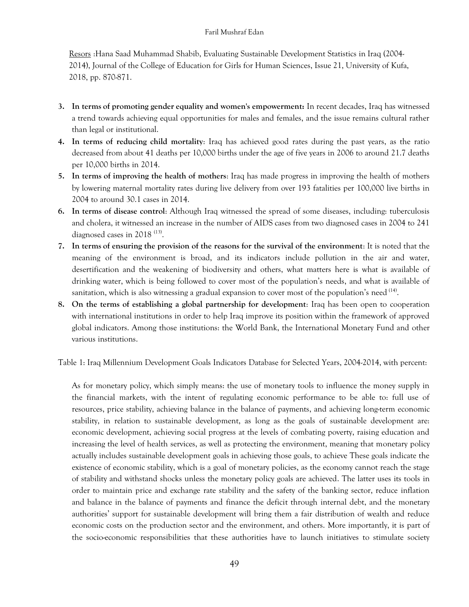Resors :Hana Saad Muhammad Shabib, Evaluating Sustainable Development Statistics in Iraq (2004- 2014), Journal of the College of Education for Girls for Human Sciences, Issue 21, University of Kufa, 2018, pp. 870-871.

- **3. In terms of promoting gender equality and women's empowerment:** In recent decades, Iraq has witnessed a trend towards achieving equal opportunities for males and females, and the issue remains cultural rather than legal or institutional.
- **4. In terms of reducing child mortality**: Iraq has achieved good rates during the past years, as the ratio decreased from about 41 deaths per 10,000 births under the age of five years in 2006 to around 21.7 deaths per 10,000 births in 2014.
- **5. In terms of improving the health of mothers**: Iraq has made progress in improving the health of mothers by lowering maternal mortality rates during live delivery from over 193 fatalities per 100,000 live births in 2004 to around 30.1 cases in 2014.
- **6. In terms of disease control**: Although Iraq witnessed the spread of some diseases, including: tuberculosis and cholera, it witnessed an increase in the number of AIDS cases from two diagnosed cases in 2004 to 241 diagnosed cases in 2018<sup>(13)</sup>.
- **7. In terms of ensuring the provision of the reasons for the survival of the environment**: It is noted that the meaning of the environment is broad, and its indicators include pollution in the air and water, desertification and the weakening of biodiversity and others, what matters here is what is available of drinking water, which is being followed to cover most of the population's needs, and what is available of sanitation, which is also witnessing a gradual expansion to cover most of the population's need  $^{(14)}$ .
- **8. On the terms of establishing a global partnership for development**: Iraq has been open to cooperation with international institutions in order to help Iraq improve its position within the framework of approved global indicators. Among those institutions: the World Bank, the International Monetary Fund and other various institutions.

Table 1: Iraq Millennium Development Goals Indicators Database for Selected Years, 2004-2014, with percent:

As for monetary policy, which simply means: the use of monetary tools to influence the money supply in the financial markets, with the intent of regulating economic performance to be able to: full use of resources, price stability, achieving balance in the balance of payments, and achieving long-term economic stability, in relation to sustainable development, as long as the goals of sustainable development are: economic development, achieving social progress at the levels of combating poverty, raising education and increasing the level of health services, as well as protecting the environment, meaning that monetary policy actually includes sustainable development goals in achieving those goals, to achieve These goals indicate the existence of economic stability, which is a goal of monetary policies, as the economy cannot reach the stage of stability and withstand shocks unless the monetary policy goals are achieved. The latter uses its tools in order to maintain price and exchange rate stability and the safety of the banking sector, reduce inflation and balance in the balance of payments and finance the deficit through internal debt, and the monetary authorities' support for sustainable development will bring them a fair distribution of wealth and reduce economic costs on the production sector and the environment, and others. More importantly, it is part of the socio-economic responsibilities that these authorities have to launch initiatives to stimulate society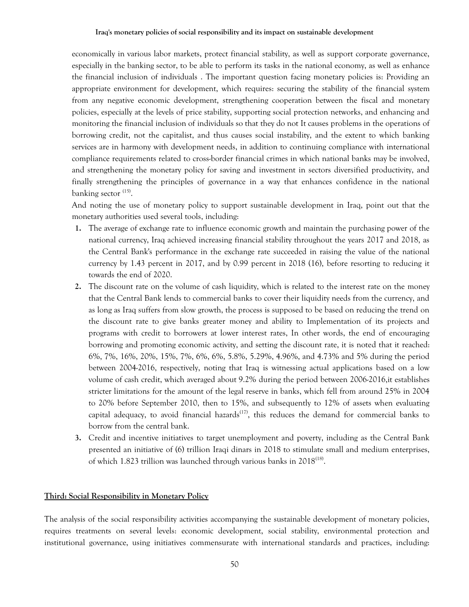economically in various labor markets, protect financial stability, as well as support corporate governance, especially in the banking sector, to be able to perform its tasks in the national economy, as well as enhance the financial inclusion of individuals . The important question facing monetary policies is: Providing an appropriate environment for development, which requires: securing the stability of the financial system from any negative economic development, strengthening cooperation between the fiscal and monetary policies, especially at the levels of price stability, supporting social protection networks, and enhancing and monitoring the financial inclusion of individuals so that they do not It causes problems in the operations of borrowing credit, not the capitalist, and thus causes social instability, and the extent to which banking services are in harmony with development needs, in addition to continuing compliance with international compliance requirements related to cross-border financial crimes in which national banks may be involved, and strengthening the monetary policy for saving and investment in sectors diversified productivity, and finally strengthening the principles of governance in a way that enhances confidence in the national banking sector <sup>(15)</sup>.

And noting the use of monetary policy to support sustainable development in Iraq, point out that the monetary authorities used several tools, including:

- **1.** The average of exchange rate to influence economic growth and maintain the purchasing power of the national currency, Iraq achieved increasing financial stability throughout the years 2017 and 2018, as the Central Bank's performance in the exchange rate succeeded in raising the value of the national currency by 1.43 percent in 2017, and by 0.99 percent in 2018 (16), before resorting to reducing it towards the end of 2020.
- **2.** The discount rate on the volume of cash liquidity, which is related to the interest rate on the money that the Central Bank lends to commercial banks to cover their liquidity needs from the currency, and as long as Iraq suffers from slow growth, the process is supposed to be based on reducing the trend on the discount rate to give banks greater money and ability to Implementation of its projects and programs with credit to borrowers at lower interest rates, In other words, the end of encouraging borrowing and promoting economic activity, and setting the discount rate, it is noted that it reached: 6%, 7%, 16%, 20%, 15%, 7%, 6%, 6%, 5.8%, 5.29%, 4.96%, and 4.73% and 5% during the period between 2004-2016, respectively, noting that Iraq is witnessing actual applications based on a low volume of cash credit, which averaged about 9.2% during the period between 2006-2016,it establishes stricter limitations for the amount of the legal reserve in banks, which fell from around 25% in 2004 to 20% before September 2010, then to 15%, and subsequently to 12% of assets when evaluating capital adequacy, to avoid financial hazards<sup> $(17)$ </sup>, this reduces the demand for commercial banks to borrow from the central bank.
- **3.** Credit and incentive initiatives to target unemployment and poverty, including as the Central Bank presented an initiative of (6) trillion Iraqi dinars in 2018 to stimulate small and medium enterprises, of which 1.823 trillion was launched through various banks in 2018<sup>(18)</sup>.

#### **Third: Social Responsibility in Monetary Policy**

The analysis of the social responsibility activities accompanying the sustainable development of monetary policies, requires treatments on several levels: economic development, social stability, environmental protection and institutional governance, using initiatives commensurate with international standards and practices, including: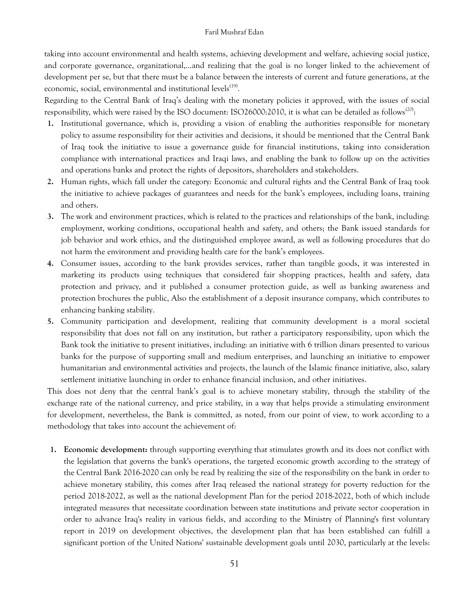taking into account environmental and health systems, achieving development and welfare, achieving social justice, and corporate governance, organizational,…and realizing that the goal is no longer linked to the achievement of development per se, but that there must be a balance between the interests of current and future generations, at the economic, social, environmental and institutional levels<sup>(19)</sup>.

Regarding to the Central Bank of Iraq's dealing with the monetary policies it approved, with the issues of social responsibility, which were raised by the ISO document: ISO26000:2010, it is what can be detailed as follows<sup>(20)</sup>:

- **1.** Institutional governance, which is, providing a vision of enabling the authorities responsible for monetary policy to assume responsibility for their activities and decisions, it should be mentioned that the Central Bank of Iraq took the initiative to issue a governance guide for financial institutions, taking into consideration compliance with international practices and Iraqi laws, and enabling the bank to follow up on the activities and operations banks and protect the rights of depositors, shareholders and stakeholders.
- **2.** Human rights, which fall under the category: Economic and cultural rights and the Central Bank of Iraq took the initiative to achieve packages of guarantees and needs for the bank's employees, including loans, training and others.
- **3.** The work and environment practices, which is related to the practices and relationships of the bank, including: employment, working conditions, occupational health and safety, and others; the Bank issued standards for job behavior and work ethics, and the distinguished employee award, as well as following procedures that do not harm the environment and providing health care for the bank's employees.
- **4.** Consumer issues, according to the bank provides services, rather than tangible goods, it was interested in marketing its products using techniques that considered fair shopping practices, health and safety, data protection and privacy, and it published a consumer protection guide, as well as banking awareness and protection brochures the public, Also the establishment of a deposit insurance company, which contributes to enhancing banking stability.
- **5.** Community participation and development, realizing that community development is a moral societal responsibility that does not fall on any institution, but rather a participatory responsibility, upon which the Bank took the initiative to present initiatives, including: an initiative with 6 trillion dinars presented to various banks for the purpose of supporting small and medium enterprises, and launching an initiative to empower humanitarian and environmental activities and projects, the launch of the Islamic finance initiative, also, salary settlement initiative launching in order to enhance financial inclusion, and other initiatives.

This does not deny that the central bank's goal is to achieve monetary stability, through the stability of the exchange rate of the national currency, and price stability, in a way that helps provide a stimulating environment for development, nevertheless, the Bank is committed, as noted, from our point of view, to work according to a methodology that takes into account the achievement of:

**1. Economic development:** through supporting everything that stimulates growth and its does not conflict with the legislation that governs the bank's operations, the targeted economic growth according to the strategy of the Central Bank 2016-2020 can only be read by realizing the size of the responsibility on the bank in order to achieve monetary stability, this comes after Iraq released the national strategy for poverty reduction for the period 2018-2022, as well as the national development Plan for the period 2018-2022, both of which include integrated measures that necessitate coordination between state institutions and private sector cooperation in order to advance Iraq's reality in various fields, and according to the Ministry of Planning's first voluntary report in 2019 on development objectives, the development plan that has been established can fulfill a significant portion of the United Nations' sustainable development goals until 2030, particularly at the levels: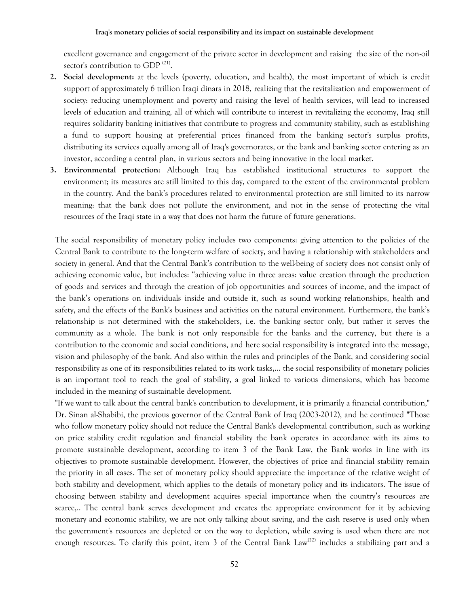excellent governance and engagement of the private sector in development and raising the size of the non-oil sector's contribution to GDP<sup>(21)</sup>.

- **2. Social development:** at the levels (poverty, education, and health), the most important of which is credit support of approximately 6 trillion Iraqi dinars in 2018, realizing that the revitalization and empowerment of society: reducing unemployment and poverty and raising the level of health services, will lead to increased levels of education and training, all of which will contribute to interest in revitalizing the economy, Iraq still requires solidarity banking initiatives that contribute to progress and community stability, such as establishing a fund to support housing at preferential prices financed from the banking sector's surplus profits, distributing its services equally among all of Iraq's governorates, or the bank and banking sector entering as an investor, according a central plan, in various sectors and being innovative in the local market.
- **3. Environmental protection**: Although Iraq has established institutional structures to support the environment; its measures are still limited to this day, compared to the extent of the environmental problem in the country. And the bank's procedures related to environmental protection are still limited to its narrow meaning: that the bank does not pollute the environment, and not in the sense of protecting the vital resources of the Iraqi state in a way that does not harm the future of future generations.

The social responsibility of monetary policy includes two components: giving attention to the policies of the Central Bank to contribute to the long-term welfare of society, and having a relationship with stakeholders and society in general. And that the Central Bank's contribution to the well-being of society does not consist only of achieving economic value, but includes: "achieving value in three areas: value creation through the production of goods and services and through the creation of job opportunities and sources of income, and the impact of the bank's operations on individuals inside and outside it, such as sound working relationships, health and safety, and the effects of the Bank's business and activities on the natural environment. Furthermore, the bank's relationship is not determined with the stakeholders, i.e. the banking sector only, but rather it serves the community as a whole. The bank is not only responsible for the banks and the currency, but there is a contribution to the economic and social conditions, and here social responsibility is integrated into the message, vision and philosophy of the bank. And also within the rules and principles of the Bank, and considering social responsibility as one of its responsibilities related to its work tasks,… the social responsibility of monetary policies is an important tool to reach the goal of stability, a goal linked to various dimensions, which has become included in the meaning of sustainable development.

"If we want to talk about the central bank's contribution to development, it is primarily a financial contribution," Dr. Sinan al-Shabibi, the previous governor of the Central Bank of Iraq (2003-2012), and he continued "Those who follow monetary policy should not reduce the Central Bank's developmental contribution, such as working on price stability credit regulation and financial stability the bank operates in accordance with its aims to promote sustainable development, according to item 3 of the Bank Law, the Bank works in line with its objectives to promote sustainable development. However, the objectives of price and financial stability remain the priority in all cases. The set of monetary policy should appreciate the importance of the relative weight of both stability and development, which applies to the details of monetary policy and its indicators. The issue of choosing between stability and development acquires special importance when the country's resources are scarce,.. The central bank serves development and creates the appropriate environment for it by achieving monetary and economic stability, we are not only talking about saving, and the cash reserve is used only when the government's resources are depleted or on the way to depletion, while saving is used when there are not enough resources. To clarify this point, item 3 of the Central Bank Law<sup>(22)</sup> includes a stabilizing part and a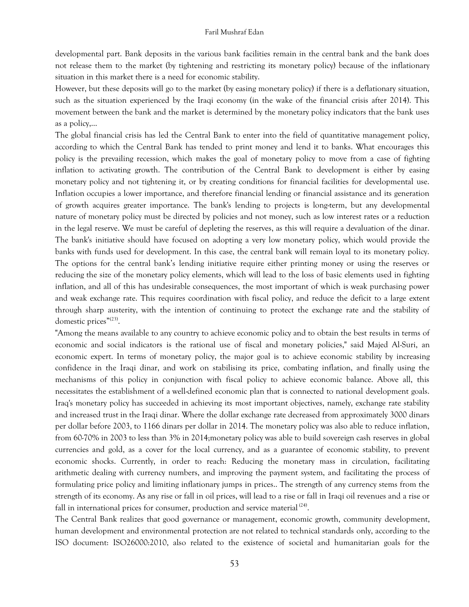developmental part. Bank deposits in the various bank facilities remain in the central bank and the bank does not release them to the market (by tightening and restricting its monetary policy) because of the inflationary situation in this market there is a need for economic stability.

However, but these deposits will go to the market (by easing monetary policy) if there is a deflationary situation, such as the situation experienced by the Iraqi economy (in the wake of the financial crisis after 2014). This movement between the bank and the market is determined by the monetary policy indicators that the bank uses as a policy,...

The global financial crisis has led the Central Bank to enter into the field of quantitative management policy, according to which the Central Bank has tended to print money and lend it to banks. What encourages this policy is the prevailing recession, which makes the goal of monetary policy to move from a case of fighting inflation to activating growth. The contribution of the Central Bank to development is either by easing monetary policy and not tightening it, or by creating conditions for financial facilities for developmental use. Inflation occupies a lower importance, and therefore financial lending or financial assistance and its generation of growth acquires greater importance. The bank's lending to projects is long-term, but any developmental nature of monetary policy must be directed by policies and not money, such as low interest rates or a reduction in the legal reserve. We must be careful of depleting the reserves, as this will require a devaluation of the dinar. The bank's initiative should have focused on adopting a very low monetary policy, which would provide the banks with funds used for development. In this case, the central bank will remain loyal to its monetary policy. The options for the central bank's lending initiative require either printing money or using the reserves or reducing the size of the monetary policy elements, which will lead to the loss of basic elements used in fighting inflation, and all of this has undesirable consequences, the most important of which is weak purchasing power and weak exchange rate. This requires coordination with fiscal policy, and reduce the deficit to a large extent through sharp austerity, with the intention of continuing to protect the exchange rate and the stability of domestic prices"<sup>(23)</sup>.

"Among the means available to any country to achieve economic policy and to obtain the best results in terms of economic and social indicators is the rational use of fiscal and monetary policies," said Majed Al-Suri, an economic expert. In terms of monetary policy, the major goal is to achieve economic stability by increasing confidence in the Iraqi dinar, and work on stabilising its price, combating inflation, and finally using the mechanisms of this policy in conjunction with fiscal policy to achieve economic balance. Above all, this necessitates the establishment of a well-defined economic plan that is connected to national development goals. Iraq's monetary policy has succeeded in achieving its most important objectives, namely, exchange rate stability and increased trust in the Iraqi dinar. Where the dollar exchange rate decreased from approximately 3000 dinars per dollar before 2003, to 1166 dinars per dollar in 2014. The monetary policy was also able to reduce inflation, from 60-70% in 2003 to less than 3% in 2014;monetary policy was able to build sovereign cash reserves in global currencies and gold, as a cover for the local currency, and as a guarantee of economic stability, to prevent economic shocks. Currently, in order to reach: Reducing the monetary mass in circulation, facilitating arithmetic dealing with currency numbers, and improving the payment system, and facilitating the process of formulating price policy and limiting inflationary jumps in prices.. The strength of any currency stems from the strength of its economy. As any rise or fall in oil prices, will lead to a rise or fall in Iraqi oil revenues and a rise or fall in international prices for consumer, production and service material  $(24)$ .

The Central Bank realizes that good governance or management, economic growth, community development, human development and environmental protection are not related to technical standards only, according to the ISO document: ISO26000:2010, also related to the existence of societal and humanitarian goals for the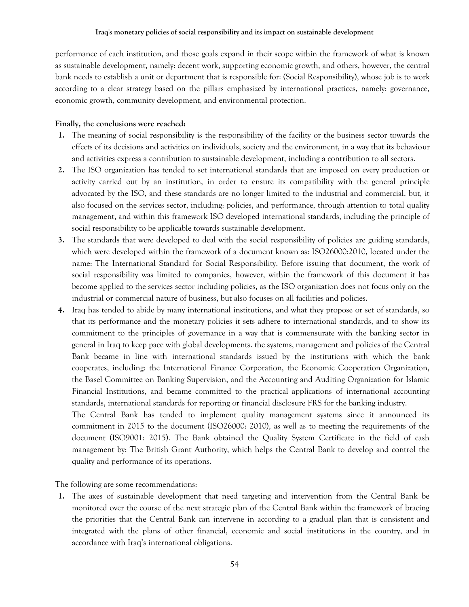performance of each institution, and those goals expand in their scope within the framework of what is known as sustainable development, namely: decent work, supporting economic growth, and others, however, the central bank needs to establish a unit or department that is responsible for: (Social Responsibility), whose job is to work according to a clear strategy based on the pillars emphasized by international practices, namely: governance, economic growth, community development, and environmental protection.

## **Finally, the conclusions were reached:**

- **1.** The meaning of social responsibility is the responsibility of the facility or the business sector towards the effects of its decisions and activities on individuals, society and the environment, in a way that its behaviour and activities express a contribution to sustainable development, including a contribution to all sectors.
- **2.** The ISO organization has tended to set international standards that are imposed on every production or activity carried out by an institution, in order to ensure its compatibility with the general principle advocated by the ISO, and these standards are no longer limited to the industrial and commercial, but, it also focused on the services sector, including: policies, and performance, through attention to total quality management, and within this framework ISO developed international standards, including the principle of social responsibility to be applicable towards sustainable development.
- **3.** The standards that were developed to deal with the social responsibility of policies are guiding standards, which were developed within the framework of a document known as: ISO26000:2010, located under the name: The International Standard for Social Responsibility. Before issuing that document, the work of social responsibility was limited to companies, however, within the framework of this document it has become applied to the services sector including policies, as the ISO organization does not focus only on the industrial or commercial nature of business, but also focuses on all facilities and policies.
- **4.** Iraq has tended to abide by many international institutions, and what they propose or set of standards, so that its performance and the monetary policies it sets adhere to international standards, and to show its commitment to the principles of governance in a way that is commensurate with the banking sector in general in Iraq to keep pace with global developments. the systems, management and policies of the Central Bank became in line with international standards issued by the institutions with which the bank cooperates, including: the International Finance Corporation, the Economic Cooperation Organization, the Basel Committee on Banking Supervision, and the Accounting and Auditing Organization for Islamic Financial Institutions, and became committed to the practical applications of international accounting standards, international standards for reporting or financial disclosure FRS for the banking industry.

The Central Bank has tended to implement quality management systems since it announced its commitment in 2015 to the document (ISO26000: 2010), as well as to meeting the requirements of the document (ISO9001: 2015). The Bank obtained the Quality System Certificate in the field of cash management by: The British Grant Authority, which helps the Central Bank to develop and control the quality and performance of its operations.

The following are some recommendations:

**1.** The axes of sustainable development that need targeting and intervention from the Central Bank be monitored over the course of the next strategic plan of the Central Bank within the framework of bracing the priorities that the Central Bank can intervene in according to a gradual plan that is consistent and integrated with the plans of other financial, economic and social institutions in the country, and in accordance with Iraq's international obligations.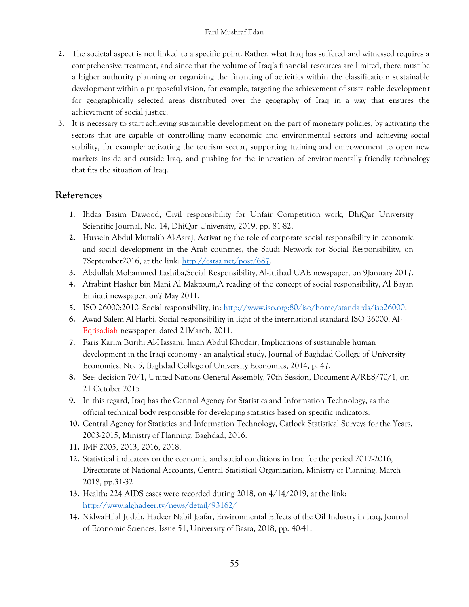- **2.** The societal aspect is not linked to a specific point. Rather, what Iraq has suffered and witnessed requires a comprehensive treatment, and since that the volume of Iraq's financial resources are limited, there must be a higher authority planning or organizing the financing of activities within the classification: sustainable development within a purposeful vision, for example, targeting the achievement of sustainable development for geographically selected areas distributed over the geography of Iraq in a way that ensures the achievement of social justice.
- **3.** It is necessary to start achieving sustainable development on the part of monetary policies, by activating the sectors that are capable of controlling many economic and environmental sectors and achieving social stability, for example: activating the tourism sector, supporting training and empowerment to open new markets inside and outside Iraq, and pushing for the innovation of environmentally friendly technology that fits the situation of Iraq.

# **References**

- **1.** Ihdaa Basim Dawood, Civil responsibility for Unfair Competition work, DhiQar University Scientific Journal, No. 14, DhiQar University, 2019, pp. 81-82.
- **2.** Hussein Abdul Muttalib Al-Asraj, Activating the role of corporate social responsibility in economic and social development in the Arab countries, the Saudi Network for Social Responsibility, on 7September2016, at the link: [http://csrsa.net/post/687.](http://csrsa.net/post/687)
- **3.** Abdullah Mohammed Lashiba,Social Responsibility, Al-Ittihad UAE newspaper, on 9January 2017.
- **4.** Afrabint Hasher bin Mani Al Maktoum,A reading of the concept of social responsibility, Al Bayan Emirati newspaper, on7 May 2011.
- **5.** ISO 26000:2010- Social responsibility, in: [http://www.iso.org:80/iso/home/standards/iso26000.](http://www.iso.org/iso/home/standards/iso26000)
- **6.** Awad Salem Al-Harbi, Social responsibility in light of the international standard ISO 26000, Al-Eqtisadiah newspaper, dated 21March, 2011.
- **7.** Faris Karim Burihi Al-Hassani, Iman Abdul Khudair, Implications of sustainable human development in the Iraqi economy - an analytical study, Journal of Baghdad College of University Economics, No. 5, Baghdad College of University Economics, 2014, p. 47.
- **8.** See: decision 70/1, United Nations General Assembly, 70th Session, Document A/RES/70/1, on 21 October 2015.
- **9.** In this regard, Iraq has the Central Agency for Statistics and Information Technology, as the official technical body responsible for developing statistics based on specific indicators.
- **10.** Central Agency for Statistics and Information Technology, Catlock Statistical Surveys for the Years, 2003-2015, Ministry of Planning, Baghdad, 2016.
- **11.** IMF 2005, 2013, 2016, 2018.
- **12.** Statistical indicators on the economic and social conditions in Iraq for the period 2012-2016, Directorate of National Accounts, Central Statistical Organization, Ministry of Planning, March 2018, pp.31-32.
- **13.** Health: 224 AIDS cases were recorded during 2018, on 4/14/2019, at the link: <http://www.alghadeer.tv/news/detail/93162/>
- **14.** NidwaHilal Judah, Hadeer Nabil Jaafar, Environmental Effects of the Oil Industry in Iraq, Journal of Economic Sciences, Issue 51, University of Basra, 2018, pp. 40-41.